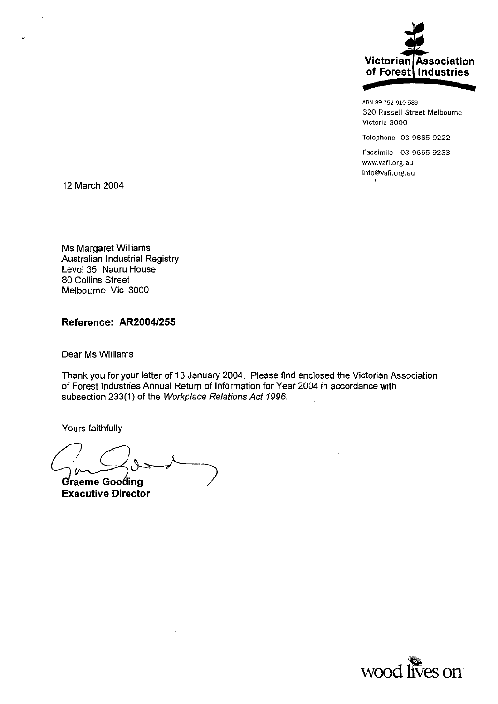

ABN 99 752 910 589 320 Russell Street Melbourne Victoria 3000

Telephone 03 9665 9222

Facsimile 03 9665 9233 www.vafi.org.au info@vafi.org.au  $\ell$ 

12 March 2004

Ms Margaret Williams Australian Industrial Registry Level 35, Nauru House 80 Collins Street Melbourne Vic 3000

### Reference: AR2004/255

Dear Ms Wiiliams

Thank you for your letter of 13 January 2004. Please find enclosed the Victorian Association of Forest Industries Annual Return of Information for Year 2004 in accordance with subsection 233(1) of the Workplace Relations Act 1996.

Yours faithfully

Graeme Gooding **Executive Director** 

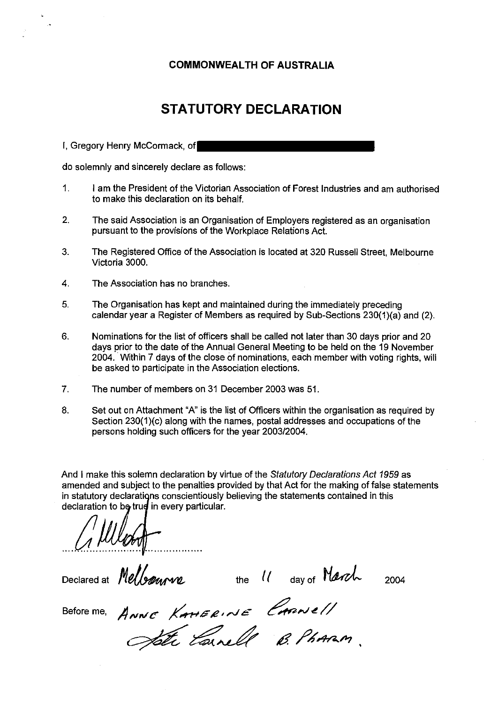## **COMMONWEALTH OF AUSTRALIA**

## **STATUTORY DECLARATION**

I, Gregory Henry McCormack, of

do solemnly and sincerely declare as follows:

- 1. I am the President of the Victorian Association of Forest Industries and am authorised to make this declaration on its behalf.
- 2. The said Association is an Organisation of Employers registered as an organisation pursuant to the provisions of the Workplace Relations Act.
- 3. The Registered Office of the Association is located at 320 Russell Street, Melbourne Victoria 3000.
- 4. The Association has no branches.
- 5. The Organisation has kept and maintained during the immediately preceding calendar year a Register of Members as required by Sub-Sections 230(1 )(a) and (2).
- 6. Nominations for the list of officers shall be called not later than 30 days prior and 20 days prior to the date of the Annual General Meeting to be held on the 19 November 2004. Within 7 days of the close of nominations, each member with voting rights, will be asked to participate in the Association elections.
- 7. The number of members on 31 December 2003 was 51.
- 8. Set out on Attachment "A" is the list of Officers within the organisation as required by Section 230(1)(c) along with the names, postal addresses and occupations of the persons holding such officers for the year 2003/2004.

And I make this solemn declaration by virtue of the Statutory Declarations Act 1959 as amended and subject to the penalties provided by that Act for the making of false statements in statutory declarations conscientiously believing the statements contained in this declaration to be true in every particular.

declaration to be true in every particular.<br>
A **WU COM** 

Declared at *Melloqueve* the *{{* day of March 2004

Before me,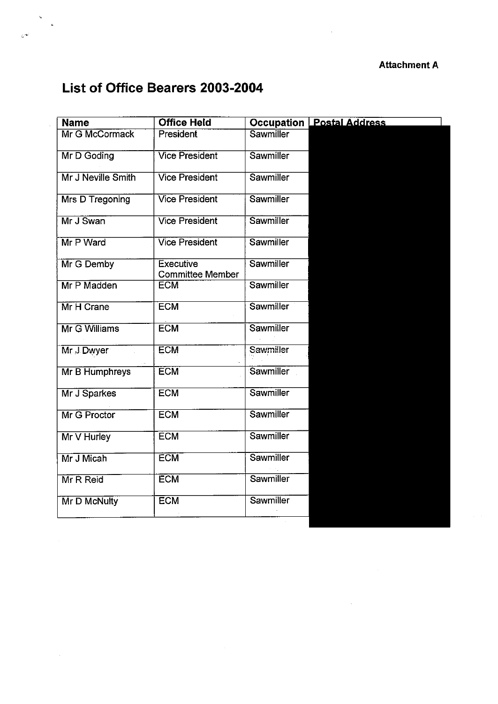# **List of Office Bearers 2003-2004**

 $e^{i\omega}$ 

 $\mathcal{L}_{\mathcal{A}}$ 

| <b>Name</b>            | <b>Office Held</b>                   |                  | <b>Occupation Postal Address</b> |
|------------------------|--------------------------------------|------------------|----------------------------------|
| Mr G McCormack         | President                            | Sawmiller        |                                  |
| Mr D Goding            | <b>Vice President</b>                | Sawmiller        |                                  |
| Mr J Neville Smith     | <b>Vice President</b>                | Sawmiller        |                                  |
| <b>Mrs D Tregoning</b> | <b>Vice President</b>                | <b>Sawmiller</b> |                                  |
| Mr J Swan              | <b>Vice President</b>                | Sawmiller        |                                  |
| Mr P Ward              | <b>Vice President</b>                | <b>Sawmiller</b> |                                  |
| Mr G Demby             | Executive<br><b>Committee Member</b> | Sawmiller        |                                  |
| Mr P Madden            | <b>ECM</b>                           | Sawmiller        |                                  |
| Mr H Crane             | <b>ECM</b>                           | <b>Sawmiller</b> |                                  |
| Mr G Williams          | <b>ECM</b>                           | <b>Sawmiller</b> |                                  |
| Mr.J.Dwyer             | <b>ECM</b>                           | <b>Sawmiller</b> |                                  |
| Mr B Humphreys         | <b>ECM</b>                           | Sawmiller        |                                  |
| Mr J Sparkes           | <b>ECM</b>                           | Sawmiller        |                                  |
| Mr G Proctor           | <b>ECM</b>                           | Sawmiller        |                                  |
| Mr V Hurley            | <b>ECM</b>                           | Sawmiller        |                                  |
| Mr J Micah             | <b>ECM</b>                           | <b>Sawmiller</b> |                                  |
| Mr R Reid              | <b>ECM</b>                           | Sawmiller        |                                  |
| Mr D McNulty           | <b>ECM</b>                           | Sawmiller        |                                  |